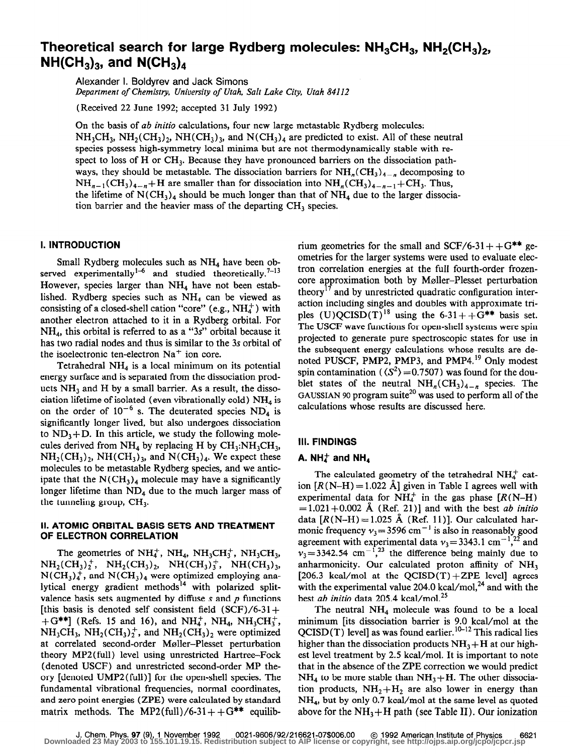# Theoretical search for large Rydberg molecules:  $NH<sub>3</sub>CH<sub>3</sub>$ , NH<sub>2</sub>(CH<sub>3</sub>)<sub>2</sub>,  $NH(CH_3)_3$ , and  $N(CH_3)_4$

Alexander I. Boldyrev and Jack Simons

Department of Chemistry, University of Utah, Salt Lake City, Utah 84112

(Received 22 June 1992; accepted 31 July 1992)

On the basis of ab initio calculations, four new large metastable Rydberg molecules:  $NH<sub>3</sub>CH<sub>3</sub>$ ,  $NH<sub>2</sub>(CH<sub>3</sub>)<sub>2</sub>$ ,  $NH(CH<sub>3</sub>)<sub>3</sub>$ , and  $N(CH<sub>3</sub>)<sub>4</sub>$  are predicted to exist. All of these neutral species possess high-symmetry local minima but are not thermodynamically stable with respect to loss of H or  $CH<sub>3</sub>$ . Because they have pronounced barriers on the dissociation pathways, they should be metastable. The dissociation barriers for  $NH_n(CH_3)_{4-n}$  decomposing to  $NH_{n-1}(CH_3)_{4-n}+H$  are smaller than for dissociation into  $NH_n(CH_3)_{4-n-1}+CH_3$ . Thus, the lifetime of  $N(CH_3)_4$  should be much longer than that of  $NH_4$  due to the larger dissociation barrier and the heavier mass of the departing  $CH_3$  species.

## I. INTRODUCTION

Small Rydberg molecules such as  $NH<sub>4</sub>$  have been observed experimentally<sup>1-6</sup> and studied theoretically.<sup>7-13</sup> However, species larger than  $NH<sub>4</sub>$  have not been established. Rydberg species such as  $NH<sub>4</sub>$  can be viewed as consisting of a closed-shell cation "core" (e.g.,  $NH<sub>4</sub><sup>+</sup>$ ) with another electron attached to it in a Rydberg orbital. For NH4, this orbital is referred to as a "3s" orbital because it has two radial nodes and thus is similar to the 3s orbital of the isoelectronic ten-electron  $Na<sup>+</sup>$  ion core.

Tetrahedral  $NH<sub>4</sub>$  is a local minimum on its potential energy surface and is separated from the dissociation products  $NH<sub>3</sub>$  and H by a small barrier. As a result, the dissociation lifetime of isolated (even vibrationally cold)  $NH<sub>4</sub>$  is on the order of  $10^{-6}$  s. The deuterated species ND<sub>4</sub> is significantly longer lived, but also undergoes dissociation to  $ND_3+D$ . In this article, we study the following molecules derived from  $NH_4$  by replacing H by  $CH_3:NH_3CH_3$ ,  $NH<sub>2</sub>(CH<sub>3</sub>)<sub>2</sub>$ , NH(CH<sub>3</sub>)<sub>3</sub>, and N(CH<sub>3</sub>)<sub>4</sub>. We expect these molecules to be metastable Rydberg species, and we anticipate that the  $N(CH_3)_4$  molecule may have a significantly longer lifetime than  $ND<sub>4</sub>$  due to the much larger mass of the tunneling group, CH,.

## II. ATOMIC ORBITAL BASIS SETS AND TREATMENT OF ELECTRON CORRELATION

The geometries of  $NH_4^+$ , NH<sub>4</sub>, NH<sub>3</sub>CH<sub>3</sub><sup>+</sup>, NH<sub>3</sub>CH<sub>3</sub>,  $NH<sub>2</sub>(CH<sub>3</sub>)<sub>2</sub><sup>+</sup>$ ,  $NH<sub>2</sub>(CH<sub>3</sub>)<sub>2</sub>$ ,  $NH(CH<sub>3</sub>)<sub>3</sub><sup>+</sup>$ ,  $NH(CH<sub>3</sub>)<sub>3</sub>$ ,  $N(CH<sub>3</sub>)<sub>4</sub><sup>+</sup>$ , and  $N(CH<sub>3</sub>)<sub>4</sub>$  were optimized employing analytical energy gradient methods<sup>14</sup> with polarized splitvalence basis sets augmented by diffuse  $s$  and  $p$  functions [this basis is denoted self consistent field  $(SCF)/6-31+$  $+G^{**}$ ] (Refs. 15 and 16), and NH<sub>4</sub><sup>+</sup>, NH<sub>4</sub>, NH<sub>3</sub>CH<sub>3</sub><sup>+</sup>,  $NH<sub>3</sub>CH<sub>3</sub>$ ,  $NH<sub>2</sub>(CH<sub>3</sub>)<sub>2</sub><sup>+</sup>$ , and  $NH<sub>2</sub>(CH<sub>3</sub>)<sub>2</sub>$  were optimized at correlated second-order Møller-Plesset perturbation theory MP2( full) level using unrestricted Hartree-Fock (denoted USCF) and unrestricted second-order MP theory [denoted UMP2(full)] for the open-shell species. The fundamental vibrational frequencies, normal coordinates, and zero point energies (ZPE) were calculated by standard matrix methods. The MP2(full)/6-31++ $G^{**}$  equilib-

rium geometries for the small and  $SCF/6-31++G^{**}$  geometries for the larger systems were used to evaluate electron correlation energies at the full fourth-order frozencore approximation both by Møller-Plesset perturbation theory<sup>17</sup> and by unrestricted quadratic configuration interaction including singles and doubles with approximate triples  $(U)QCISD(T)^{18}$  using the 6-31++G\*\* basis set. The USCF wave functions for open-shell systems were spin projected to generate pure spectroscopic states for use in the subsequent energy calculations whose results are denoted PUSCF, PMP2, PMP3, and PMP4.<sup>19</sup> Only modest spin contamination ( $\langle S^2 \rangle$  =0.7507) was found for the doublet states of the neutral  $NH_n(CH_3)_{4-n}$  species. The GAUSSIAN 90 program suite<sup>20</sup> was used to perform all of the calculations whose results are discussed here.

# Ill. FINDINGS

## A. NH $_4^+$  and NH<sub>4</sub>

The calculated geometry of the tetrahedral  $NH<sub>4</sub><sup>+</sup>$  cation  $[R(N-H) = 1.022 \text{ Å}]$  given in Table I agrees well with experimental data for NH $_{4}^{+}$  in the gas phase  $(R(N-H))$  $=1.021+0.002$  Å (Ref. 21)] and with the best *ab initio* data  $[R(N-H)=1.025 \text{ Å}$  (Ref. 11)]. Our calculated harmonic frequency  $v_3 = 3596$  cm<sup>-1</sup> is also in reasonably good agreement with experimental data  $v_3 = 3343.1 \text{ cm}^{-1}$ ,<sup>22</sup> and  $v_3$ =3342.54 cm<sup>-1</sup>,<sup>23</sup> the difference being mainly due to anharmonicity. Our calculated proton affinity of  $NH<sub>3</sub>$ [206.3 kcal/mol at the  $QCISD(T) + ZPE$  level] agrees with the experimental value 204.0 kcal/mol, $^{24}$  and with the best ab initio data 205.4 kcal/mol. $^{25}$ 

The neutral  $NH_4$  molecule was found to be a local minimum [its dissociation barrier is 9.0 kcal/mol at the  $QCISD(T)$  level] as was found earlier.<sup>10-12</sup> This radical lies higher than the dissociation products  $NH<sub>3</sub> + H$  at our highest level treatment by 2.5 kcal/mol. It is important to note that in the absence of the ZPE correction we would predict  $NH<sub>4</sub>$  to be more stable than  $NH<sub>3</sub>+H$ . The other dissociation products,  $NH<sub>2</sub>+H<sub>2</sub>$  are also lower in energy than NH4, but by only 0.7 kcal/mol at the same level as quoted above for the  $NH_3+H$  path (see Table II). Our ionization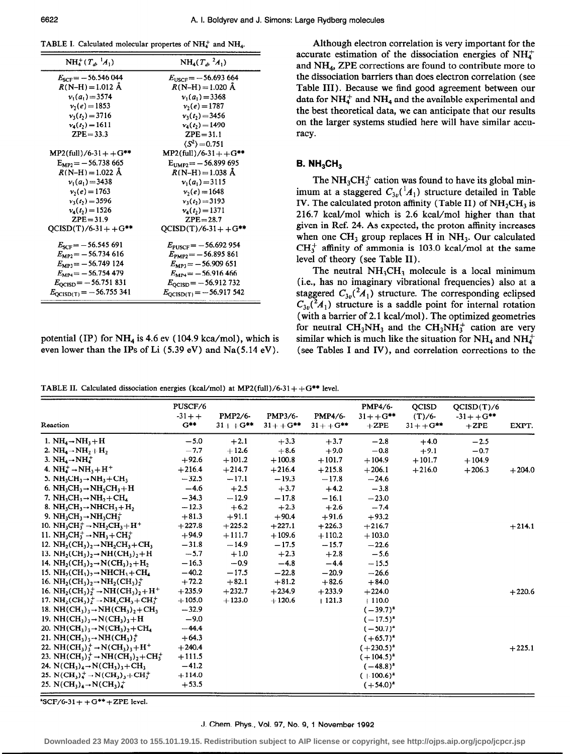$\equiv$ 

TABLE I. Calculated molecular propertes of  $NH_4^+$  and  $NH_4$ .

| $NH_4^+(T_{d_2}^{-1}A_1)$          | $NH_4(T_a, {}^2A_1)$               |
|------------------------------------|------------------------------------|
| $E_{SCF}$ = -56.546 044            | $E_{\text{USCF}} = -56.693664$     |
| $R(N-H) = 1.012 \text{ Å}$         | $R(N-H) = 1.020 \text{ Å}$         |
| $v_1(a_1) = 3574$                  | $v_1(a_1) = 3368$                  |
| $v_2(e) = 1853$                    | $v_2(e) = 1787$                    |
| $v_1(t_2) = 3716$                  | $v_1(t_2) = 3456$                  |
| $v_4(t_2) = 1611$                  | $v_4(t_2) = 1490$                  |
| $ZPE = 33.3$                       | $ZPE = 31.1$                       |
|                                    | $\langle S^2 \rangle$ = 0.751      |
| $MP2$ (full)/6-31++G**             | $MP2$ (full)/6-31++G**             |
| $E_{MP2} = -56.738665$             | $E_{UMP2} = -56.899695$            |
| $R(N-H) = 1.022 \text{ Å}$         | $R(N-H) = 1.038 \text{ Å}$         |
| $v_1(a_1) = 3438$                  | $v_1(a_1)=3115$                    |
| $v_2(e) = 1763$                    | $v_2(e) = 1648$                    |
| $v_3(t_2) = 3596$                  | $v_3(t_2) = 3193$                  |
| $v_4(t_2) = 1526$                  | $v_4(t_2) = 1371$                  |
| $ZPE = 31.9$                       | $ZPE = 28.7$                       |
| $QCISD(T)/6-31+ +G$ **             | $OCISD(T)/6-31+ +G***$             |
| $E_{\rm SCF}$ = -56.545 691        | $E_{\text{PUSCF}} = -56.692954$    |
| $E_{MP2}$ = -56.734 616            | $E_{\text{PMP2}} = -56.895861$     |
| $E_{MP3} = -56.749124$             | $E_{MP3} = -56.909651$             |
| $E_{MP4} = -56.754479$             | $E_{MP4} = -56.916466$             |
| $E_{\text{QCISD}} = -56.751831$    | $E_{\text{OCISD}} = -56.912\,732$  |
| $E_{\text{QCISD(T)}} = -56.755341$ | $E_{\text{OCISD(T)}} = -56.917542$ |

potential (IP) for  $NH_4$  is 4.6 ev (104.9 kca/mol), which is even lower than the IPs of Li  $(5.39 \text{ eV})$  and Na $(5.14 \text{ eV})$ .

Although electron correlation is very important for the accurate estimation of the dissociation energies of  $NH<sub>4</sub>$ and NH4, ZPE corrections are found to contribute more to the dissociation barriers than does electron correlation (see Table III). Because we find good agreement between our data for  $NH_4^+$  and  $NH_4$  and the available experimental and the best theoretical data, we can anticipate that our results on the larger systems studied here will have similar accuracy.

## **B.**  $NH_3CH_3$

The  $NH<sub>3</sub>CH<sub>3</sub><sup>+</sup>$  cation was found to have its global minimum at a staggered  $C_{3v}({}^1A_1)$  structure detailed in Table IV. The calculated proton affinity (Table II) of  $NH<sub>2</sub>CH<sub>3</sub>$  is 216.7 kcal/mol which is 2.6 kcal/mol higher than that given in Ref. 24. As expected, the proton affinity increases when one  $CH_3$  group replaces H in NH<sub>3</sub>. Our calculated  $CH_3^+$  affinity of ammonia is 103.0 kcal/mol at the same level of theory (see Table II).

The neutral  $NH<sub>3</sub>CH<sub>3</sub>$  molecule is a local minimum (i.e., has no imaginary vibrational frequencies) also at a staggered  $C_{3v}({}^2A_1)$  structure. The corresponding eclipsed  $C_{3v}({}^2A_1)$  structure is a saddle point for internal rotation (with a barrier of 2.1 kcal/mol) . The optimized geometries for neutral CH<sub>3</sub>NH<sub>3</sub> and the CH<sub>3</sub>NH<sub>3</sub><sup>+</sup> cation are very similar which is much like the situation for  $NH_4$  and  $NH_4^+$ (see Tables I and IV), and correlation corrections to the

TABLE II. Calculated dissociation energies (kcal/mol) at MP2(full)/6-31++ $G^{**}$  level.

| Reaction                                                                                                              | PUSCF/6<br>$-31 + +$<br>$G^{**}$ | <b>PMP2/6-</b><br>$31 + +G$ ** | PMP3/6-<br>$31 + + G^{**}$ | PMP4/6-<br>$31 + +G^{**}$ | PMP4/6-<br>$31 + +G^{**}$<br>$+ZPE$ | <b>QCISD</b><br>$(T)/6$ -<br>$31 + +G$ ** | QCISD(T)/6<br>$-31 + +G$ **<br>$+ZPE$ | EXPT.    |
|-----------------------------------------------------------------------------------------------------------------------|----------------------------------|--------------------------------|----------------------------|---------------------------|-------------------------------------|-------------------------------------------|---------------------------------------|----------|
| 1. $NH_4 \rightarrow NH_3 + H$                                                                                        | $-5.0$                           | $+2.1$                         | $+3.3$                     | $+3.7$                    | $-2.8$                              | $+4.0$                                    | $-2.5$                                |          |
| 2. $NH_4 \rightarrow NH_2 + H_2$                                                                                      | $-7.7$                           | $+12.6$                        | $+8.6$                     | $+9.0$                    | $-0.8$                              | $+9.1$                                    | $-0.7$                                |          |
| 3. NH <sub>4</sub> $\rightarrow$ NH <sub>4</sub> <sup>+</sup>                                                         | $+92.6$                          | $+101.2$                       | $+100.8$                   | $+101.7$                  | $+104.9$                            | $+101.7$                                  | $+104.9$                              |          |
| 4. $NH4+ \rightarrow NH3 + H+$                                                                                        | $+216.4$                         | $+214.7$                       | $+216.4$                   | $+215.8$                  | $+206.1$                            | $+216.0$                                  | $+206.3$                              | $+204.0$ |
| 5. NH <sub>3</sub> CH <sub>3</sub> $\rightarrow$ NH <sub>3</sub> +CH <sub>3</sub>                                     | $-32.5$                          | $-17.1$                        | $-19.3$                    | $-17.8$                   | $-24.6$                             |                                           |                                       |          |
| 6. NH <sub>3</sub> CH <sub>3</sub> $\rightarrow$ NH <sub>2</sub> CH <sub>3</sub> $+$ H                                | $-4.6$                           | $+2.5$                         | $+3.7$                     | $+4.2$                    | $-3.8$                              |                                           |                                       |          |
| 7. NH <sub>3</sub> CH <sub>3</sub> $\rightarrow$ NH <sub>2</sub> $\rightarrow$ CH <sub>4</sub>                        | $-34.3$                          | $-12.9$                        | $-17.8$                    | $-16.1$                   | $-23.0$                             |                                           |                                       |          |
| 8. NH <sub>3</sub> CH <sub>3</sub> $\rightarrow$ NHCH <sub>3</sub> $+$ H <sub>2</sub>                                 | $-12.3$                          | $+6.2$                         | $+2.3$                     | $+2.6$                    | $-7.4$                              |                                           |                                       |          |
| 9. NH <sub>3</sub> CH <sub>3</sub> $\rightarrow$ NH <sub>3</sub> CH <sub>3</sub> <sup>+</sup>                         | $+81.3$                          | $+91.1$                        | $+90.4$                    | $+91.6$                   | $+93.2$                             |                                           |                                       |          |
| 10. NH <sub>3</sub> CH <sub>7</sub> <sup>+</sup> $\rightarrow$ NH <sub>3</sub> CH <sub>3</sub> + H <sup>+</sup>       | $+227.8$                         | $+225.2$                       | $+227.1$                   | $+226.3$                  | $+216.7$                            |                                           |                                       | $+214.1$ |
| 11. NH <sub>3</sub> CH <sub>3</sub> <sup>+</sup> $\rightarrow$ NH <sub>3</sub> +CH <sub>3</sub> <sup>+</sup>          | $+94.9$                          | $+111.7$                       | $+109.6$                   | $+110.2$                  | $+103.0$                            |                                           |                                       |          |
| 12. NH <sub>2</sub> (CH <sub>3</sub> ) <sub>2</sub> $\rightarrow$ NH <sub>2</sub> CH <sub>3</sub> $+$ CH <sub>3</sub> | $-31.8$                          | $-14.9$                        | $-17.5$                    | $-15.7$                   | $-22.6$                             |                                           |                                       |          |
| 13. NH <sub>2</sub> (CH <sub>3</sub> ) <sub>2</sub> $\rightarrow$ NH(CH <sub>3</sub> ) <sub>2</sub> $+$ H             | $-5.7$                           | $+1.0$                         | $+2.3$                     | $+2.8$                    | $-5.6$                              |                                           |                                       |          |
| 14. NH <sub>2</sub> (CH <sub>3</sub> ) <sub>2</sub> $\rightarrow$ N(CH <sub>3</sub> ) <sub>2</sub> $+$ H <sub>2</sub> | $-16.3$                          | $-0.9$                         | $-4.8$                     | $-4.4$                    | $-15.5$                             |                                           |                                       |          |
| 15. NH <sub>2</sub> (CH <sub>3</sub> ), $\rightarrow$ NHCH <sub>3</sub> + CH <sub>4</sub>                             | $-40.2$                          | $-17.5$                        | $-22.8$                    | $-20.9$                   | $-26.6$                             |                                           |                                       |          |
| 16. NH <sub>2</sub> (CH <sub>3</sub> ) <sub>2</sub> $\rightarrow$ NH <sub>2</sub> (CH <sub>3</sub> ) <sup>+</sup>     | $+72.2$                          | $+82.1$                        | $+81.2$                    | $+82.6$                   | $+84.0$                             |                                           |                                       |          |
| 16. NH <sub>2</sub> (CH <sub>3</sub> ) <sup>+</sup> $\rightarrow$ NH(CH <sub>3</sub> ) <sub>2</sub> +H <sup>+</sup>   | $+235.9$                         | $+232.7$                       | $+234.9$                   | $+233.9$                  | $+224.0$                            |                                           |                                       | $+220.6$ |
| 17. NH <sub>2</sub> $(CH_3)^+$ $\rightarrow$ NH <sub>2</sub> $CH_3$ + CH <sub>3</sub> <sup>+</sup>                    | $+105.0$                         | $+123.0$                       | $+120.6$                   | $+121.3$                  | $+110.0$                            |                                           |                                       |          |
| 18. NH(CH <sub>3</sub> ) <sub>3</sub> $\rightarrow$ NH(CH <sub>3</sub> ) <sub>2</sub> +CH <sub>3</sub>                | $-32.9$                          |                                |                            |                           | $(-39.7)^{a}$                       |                                           |                                       |          |
| 19. NH(CH <sub>3</sub> ) <sub>3</sub> $\rightarrow$ N(CH <sub>3</sub> ) <sub>3</sub> +H                               | $-9.0$                           |                                |                            |                           | $(-17.5)^{a}$                       |                                           |                                       |          |
| 20. NH $(CH_3)$ <sub>3</sub> $\rightarrow$ N(CH <sub>3</sub> ) <sub>2</sub> + CH <sub>4</sub>                         | $-44.4$                          |                                |                            |                           | $(-50.7)^{a}$                       |                                           |                                       |          |
| 21. NH $(CH_3)$ <sub>3</sub> $\rightarrow$ NH $(CH_3)$ <sup>+</sup> <sub>3</sub>                                      | $+64.3$                          |                                |                            |                           | $(+65.7)^*$                         |                                           |                                       |          |
| 22. NH(CH <sub>3</sub> ) <sup>+</sup> $\rightarrow$ N(CH <sub>3</sub> ) <sub>3</sub> +H <sup>+</sup>                  | $+240.4$                         |                                |                            |                           | $(+230.5)^{a}$                      |                                           |                                       | $+225.1$ |
| 23. NH(CH <sub>3</sub> ) <sup>+</sup> $\rightarrow$ NH(CH <sub>3</sub> ) <sub>2</sub> +CH <sup>+</sup>                | $+111.5$                         |                                |                            |                           | $(+104.5)^{a}$                      |                                           |                                       |          |
| 24. $N(CH_3)_4 \rightarrow N(CH_3)_3 + CH_3$                                                                          | $-41.2$                          |                                |                            |                           | $(-48.8)^{a}$                       |                                           |                                       |          |
| 25. N(CH <sub>3</sub> ) <sup>+</sup> $\rightarrow$ N(CH <sub>3</sub> ) <sub>3</sub> +CH <sup>+</sup>                  | $+114.0$                         |                                |                            |                           | $(+100.6)^{4}$                      |                                           |                                       |          |
| 25. N(CH <sub>3</sub> ) <sub>4</sub> $\rightarrow$ N(CH <sub>3</sub> ) <sup>+</sup>                                   | $+53.5$                          |                                |                            |                           | $(+54.0)^{a}$                       |                                           |                                       |          |

 $*SCF/6-31 + + G** + ZPE$  level.

#### J. Chem. Phys., Vol. 97, No. 9, 1 November 1992

**Downloaded 23 May 2003 to 155.101.19.15. Redistribution subject to AIP license or copyright, see http://ojps.aip.org/jcpo/jcpcr.jsp**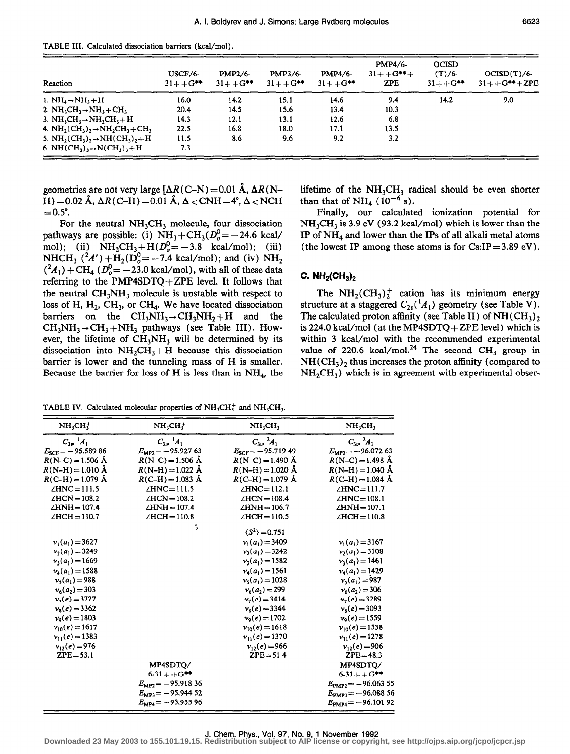| TABLE III. Calculated dissociation barriers (kcal/mol). |  |  |  |  |  |
|---------------------------------------------------------|--|--|--|--|--|
|---------------------------------------------------------|--|--|--|--|--|

| Reaction                                                                                                          | USCF/6-<br>$31 + +G^{**}$ | $PMP2/6-$<br>$31 + +G^{**}$ | <b>PMP3/6-</b><br>$31 + + G^{**}$ | <b>PMP4/6-</b><br>$31 + +G^{**}$ | <b>PMP4/6-</b><br>$31 + + G^{**} +$<br><b>ZPE</b> | <b>OCISD</b><br>$(T)/6$ -<br>$31 + +G^{**}$ | OCISD(T)/6<br>$31 + + G^{**} + ZPE$ |
|-------------------------------------------------------------------------------------------------------------------|---------------------------|-----------------------------|-----------------------------------|----------------------------------|---------------------------------------------------|---------------------------------------------|-------------------------------------|
| 1. $NH_4 \rightarrow NH_3 + H$                                                                                    | 16.0                      | 14.2                        | 15.1                              | 14.6                             | 9.4                                               | 14.2                                        | 9.0                                 |
| 2. $NH_3CH_3 \rightarrow NH_3 + CH_3$                                                                             | 20.4                      | 14.5                        | 15.6                              | 13.4                             | 10.3                                              |                                             |                                     |
| 3. $NH_3CH_3 \rightarrow NH_2CH_3 + H$                                                                            | 14.3                      | 12.1                        | 13.1                              | 12.6                             | 6.8                                               |                                             |                                     |
| 4. NH <sub>2</sub> (CH <sub>3</sub> ) <sub>2</sub> $\rightarrow$ NH <sub>2</sub> CH <sub>3</sub> +CH <sub>3</sub> | 22.5                      | 16.8                        | 18.0                              | 17.1                             | 13.5                                              |                                             |                                     |
| 5. $NH_2(CH_3)_2 \rightarrow NH(CH_3)_2 + H$                                                                      | 11.5                      | 8.6                         | 9.6                               | 9.2                              | 3.2                                               |                                             |                                     |
| 6. NH $(CH_3)$ , $\rightarrow$ N $(CH_3)$ , $\rightarrow$ H                                                       | 7.3                       |                             |                                   |                                  |                                                   |                                             |                                     |

geometries are not very large  $[\Delta R(C-N) = 0.01 \text{ Å}, \Delta R(N-$ H) = 0.02 Å,  $\Delta R$ (C-H) = 0.01 Å,  $\Delta$  < CNH = 4°,  $\Delta$  < NCH  $=0.5$ °.

For the neutral  $NH<sub>3</sub>CH<sub>3</sub>$  molecule, four dissociation pathways are possible: (i)  $NH_3 + CH_3(D_0^0 = -24.6 \text{ kcal/}$ mol); (ii)  $\text{NH}_2\text{CH}_3 + \text{H}(D_o^0 = -3.8 \text{ kcal/mol})$ ; (iii) NHCH<sub>3</sub> ( $^{2}A'$ ) + H<sub>2</sub>(D<sub>0</sub><sup>0</sup> = -7.4 kcal/mol); and (iv) NH<sub>2</sub>  $( {}^{2}A_{1} )$  + CH<sub>4</sub> ( $D_{o}^{0}$  = -23.0 kcal/mol), with all of these data referring to the PMP4SDTQ+ZPE level. It follows that the neutral  $CH<sub>3</sub>NH<sub>3</sub>$  molecule is unstable with respect to loss of H,  $H_2$ , CH<sub>3</sub>, or CH<sub>4</sub>. We have located dissociation barriers on the  $CH_3NH_3 \rightarrow CH_3NH_2 + H$  and the  $CH_3NH_3 \rightarrow CH_3+NH_3$  pathways (see Table III). However, the lifetime of  $CH_3NH_3$  will be determined by its dissociation into  $NH<sub>2</sub>CH<sub>3</sub> + H$  because this dissociation barrier is lower and the tunneling mass of H is smaller. Because the barrier for loss of H is less than in  $NH_4$ , the

lifetime of the  $NH<sub>3</sub>CH<sub>3</sub>$  radical should be even shorter than that of  $NH<sub>4</sub>$  (10<sup>-6</sup> s).

Finally, our calculated ionization potential for  $NH<sub>3</sub>CH<sub>3</sub>$  is 3.9 eV (93.2 kcal/mol) which is lower than the IP of NH4 and lower than the IPs of all alkali metal atoms (the lowest IP among these atoms is for  $CsIP = 3.89$  eV).

## C.  $NH<sub>2</sub>(CH<sub>3</sub>)<sub>2</sub>$

The  $NH_2(CH_3)_2^+$  cation has its minimum energy structure at a staggered  $C_{2v}({}^{1}A_{1})$  geometry (see Table V). The calculated proton affinity (see Table II) of  $NH(CH_3)_2$ is 224.0 kcal/mol (at the MP4SDTQ + ZPE level) which is within 3 kcal/mol with the recommended experimental value of 220.6 kcal/mol.<sup>24</sup> The second CH<sub>3</sub> group in  $NH(CH<sub>3</sub>)<sub>2</sub>$  thus increases the proton affinity (compared to  $NH<sub>2</sub>CH<sub>3</sub>$ ) which is in agreement with experimental obser-

TABLE IV. Calculated molecular properties of NH,CH: and NH,CH,.

| $C_{11}$ , $A_1$<br>$E_{SCF}$ = -95.58986 |                             |                               |                               |
|-------------------------------------------|-----------------------------|-------------------------------|-------------------------------|
|                                           | $C_{3v}$ <sup>1</sup> $A_1$ | $C_{3\nu}$ $^{2}A_{1}$        | $C_{3m}^{2}$ $^{2}A_{1}$      |
|                                           | $E_{MP2}$ = -95.927 63      | $E_{SCF} = -95.71949$         | $E_{\text{MP2}} = -96.07263$  |
| $R(N-C) = 1.506$ Å                        | $R(N-C) = 1.506$ Å          | $R(N-C) = 1.490 \text{ Å}$    | $R(N-C) = 1.498 \text{ Å}$    |
| $R(N-H) = 1.010 \text{ Å}$                | $R(N-H) = 1.022 \text{ Å}$  | $R(N-H) = 1.020 \text{ Å}$    | $R(N-H) = 1.040 \text{ Å}$    |
| $R(C-H) = 1.079 \text{ Å}$                | $R(C-H) = 1.083$ Å          | $R(C-H) = 1.079 \text{ Å}$    | $R$ (C-H) = 1.084 Å           |
| $\angle$ HNC = 111.5                      | $\angle$ HNC = 111.5        | $\angle$ HNC = 112.1          | $\angle$ HNC=111.7            |
| $\angle$ HCN = 108.2                      | $\angle$ HCN = 108.2        | $\angle$ HCN=108.4            | $\angle$ HNC = 108.1          |
| $\angle$ HNH = 107.4                      | $\angle$ HNH = 107.4        | $\angle$ HNH = 106.7          | $\angle$ HNH = 107.1          |
| $\angle HCH = 110.7$                      | $\angle$ HCH = 110.8        | $\angle$ HCH = 110.5          | $\angle HCH = 110.8$          |
|                                           | ۹,                          | $\langle S^2 \rangle$ = 0.751 |                               |
| $v_1(a_1) = 3627$                         |                             | $v_1(a_1) = 3409$             | $v_1(a_1) = 3167$             |
| $v_2(a_1) = 3249$                         |                             | $v_2(a_1) = 3242$             | $v_2(a_1)=3108$               |
| $v_3(a_1)=1669$                           |                             | $v_1(a_1)=1582$               | $v_3(a_1)=1461$               |
| $v_4(a_1)=1588$                           |                             | $v_4(a_1)=1561$               | $v_4(a_1)=1429$               |
| $v_5(a_1) = 988$                          |                             | $v_2(a_1) = 1028$             | $v_5(a_1)=987$                |
| $v_6(a_2) = 303$                          |                             | $v_6(a_2) = 299$              | $v_6(a_2) = 306$              |
| $v_2(e) = 3727$                           |                             | $v_7(e) = 3414$               | $v_7(e) = 3289$               |
| $v_s(e) = 3362$                           |                             | $v_8(e) = 3344$               | $v_8(e) = 3093$               |
| $v_0(e) = 1803$                           |                             | $v_9(e) = 1702$               | $v_9(e) = 1559$               |
| $v_{10}(e) = 1617$                        |                             | $v_{10}(e) = 1618$            | $v_{10}(e) = 1538$            |
| $v_{11}(e) = 1383$                        |                             | $v_{11}(e) = 1370$            | $v_{11}(e) = 1278$            |
| $v_{12}(e) = 976$                         |                             | $v_{12}(e) = 966$             | $v_{12}(e) = 906$             |
| $ZPE = 53.1$                              |                             | $ZPE = 51.4$                  | $ZPE=48.3$                    |
|                                           | MP4SDTO/                    |                               | MP4SDTO/                      |
|                                           | $6 - 31 + + G^{**}$         |                               | $6-31+ + G$ **                |
|                                           | $E_{MP2} = -95.91836$       |                               | $E_{\text{PMP2}} = -96.06355$ |
|                                           | $E_{MP3} = -95.94452$       |                               | $E_{PMP3} = -96.08856$        |
|                                           | $E_{MP4} = -95.95596$       |                               | $E_{PMP4} = -96.10192$        |

#### J. Chem. Phys., Vol. 97, No. 9, 1 November 1992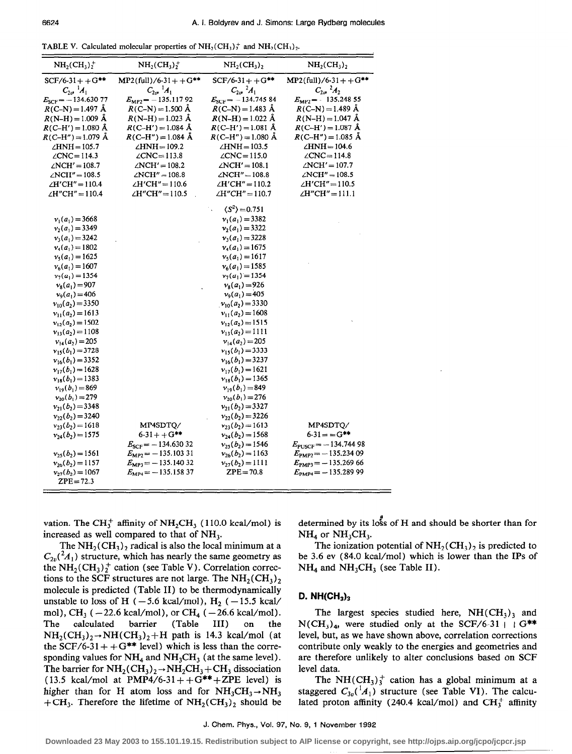TABLE V. Calculated molecular properties of  $NH<sub>2</sub>(CH<sub>3</sub>)<sup>+</sup>$  and  $NH<sub>2</sub>(CH<sub>3</sub>)<sup>+</sup>$ .

| $NH_2(CH_3)^+$                     | $NH_2(CH_3)_2^+$              | $NH2(CH3)2$                   | $NH2(CH3)2$                     |
|------------------------------------|-------------------------------|-------------------------------|---------------------------------|
| $SCF/6-31++G***$                   | $MP2$ (full)/6-31++G**        | $SCF/6-31++G***$              | $MP2$ (full)/6-31++G**          |
| $C_{2v}$ <sup>1</sup> $A_1$        | $C_{2v}$ <sup>1</sup> $A_1$   | $C_{2v}$ $^{2}A_{1}$          | $C_{2\sigma}$ $^{2}A_{2}$       |
| $E_{\text{SCF}} = -134.63077$      | $E_{\rm MP2}$ = -135.11792    | $E_{SCF}$ = -134.745 84       | $E_{\rm MP2}$ = -135.248 55     |
| $R(C-N) = 1.497 \text{ Å}$         | $R(C-N) = 1.500 \text{ Å}$    | $R(C-N) = 1.483$ Å            | $R(C-N) = 1.489 \text{ Å}$      |
| $R(N-H) = 1.009 \text{ Å}$         | $R(N-H) = 1.023 \text{ Å}$    | $R(N-H) = 1.022 \text{ Å}$    | $R(N-H) = 1.047 \text{ Å}$      |
| $R(C-H') = 1.080 \text{ Å}$        | $R(C-H') = 1.084 \text{ Å}$   | $R(C-H') = 1.081$ Å           | $R(C-H') = 1.087$ Å             |
| $R$ (C-H") = 1.079 Å               | $R$ (C-H") = 1.084 Å          | $R$ (C-H") = 1.080 Å          | $R(C-H'') = 1.085$ Å            |
| $\angle$ HNH = 105.7               | $\angle HNH = 109.2$          | $\angle$ HNH = 103.5          | $\angle$ HNH = 104.6            |
| $\angle$ CNC=114.3                 | $\angle$ CNC=113.8            | $\angle$ CNC = 115.0          | $\angle$ CNC=114.8              |
| $\angle$ NCH' = 108.7              | $\angle$ NCH' = 108.2         | $\angle$ NCH' = 108.1         | $\angle$ NCH' = 107.7           |
| $\angle$ NCH" = 108.5              | $\angle$ NCH" = 108.8         | $\angle$ NCH" = 108.8         | $\angle$ NCH" = 108.5           |
| $\angle H'CH'' = 110.4$            | $\angle H'CH'' = 110.6$       | $\angle H'CH'' = 110.2$       | $\angle H'CH'' = 110.5$         |
| ∠H"CH" = 110.4                     | $\angle H''CH'' = 110.5$      | $\angle H''CH'' = 110.7$      | $\angle H''CH'' = 111.1$        |
|                                    |                               | $\langle S^2 \rangle$ = 0.751 |                                 |
| $v_1(a_1) = 3668$                  |                               | $v_1(a_1) = 3382$             |                                 |
| $v_2(a_1) = 3349$                  |                               | $v_2(a_1) = 3322$             |                                 |
| $v_3(a_1)=3242$                    |                               | $v_3(a_1) = 3228$             |                                 |
| $v_4(a_1)=1802$                    |                               | $v_4(a_1)=1675$               |                                 |
| $v_5(a_1) = 1625$                  |                               | $v_5(a_1)=1617$               |                                 |
| $v_6(a_1) = 1607$                  |                               | $v_6(a_1) = 1585$             |                                 |
| $v_7(a_1)=1354$                    |                               | $v_7(a_1) = 1354$             |                                 |
| $v_8(a_1) = 907$                   |                               | $v_8(a_1)=926$                |                                 |
| $v_9(a_1) = 406$                   |                               | $v9(a1) = 405$                |                                 |
| $v_{10}(a_2) = 3350$               |                               | $v_{10}(a_2) = 3330$          |                                 |
| $v_{11}(a_2)=1613$                 |                               | $v_{11}(a_2)=1608$            |                                 |
| $v_{12}(a_2)=1502$                 |                               | $v_{12}(a_2)=1515$            |                                 |
| $v_{13}(a_2)=1108$                 |                               | $v_{13}(a_2)=1111$            |                                 |
| $v_{14}(a_2) = 205$                |                               | $v_{14}(a_2) = 205$           |                                 |
| $v_{15}(b_1)=3728$                 |                               | $v_{15}(b_1)=3333$            |                                 |
| $v_{16}(b_1)=3352$                 |                               | $v_{16}(b_1)=3237$            |                                 |
| $v_{17}(b_1)=1628$                 |                               | $v_{17}(b_1)=1621$            |                                 |
| $v_{18}(b_1)=1383$                 |                               | $v_{18}(b_1)=1365$            |                                 |
| $v_{19}(b_1)=869$                  |                               | $v_{19}(b_1)=849$             |                                 |
| $v_{20}(b_1)=279$                  |                               | $v_{20}(b_1)=276$             |                                 |
| $v_{21}(b_2)=3348$                 |                               | $v_{21}(b_2)=3327$            |                                 |
| $v_{22}(b_2) = 3240$               |                               | $v_{22}(b_2)=3226$            |                                 |
| $v_{23}(b_2)=1618$                 | MP4SDTQ/                      | $v_{23}(b_2)=1613$            | MP4SDTQ/                        |
| $v_{24}(b_2)=1575$                 | $6 - 31 + 6$ **               | $v_{24}(b_2)=1568$            | $6 - 31 = -G^{**}$              |
|                                    | $E_{SCF}$ = -134.63032        | $v_{25}(b_2)=1546$            | $E_{\text{PUSCF}} = -134.74498$ |
| $v_{25}(b_2)=1561$                 | $E_{\text{MP2}} = -135.10331$ | $v_{26}(b_2)=1163$            | $E_{\text{PMP2}} = -135.23409$  |
| $v_{26}(b_2)=1157$                 | $E_{MP3}$ = -135.14032        | $v_{27}(b_2)=1111$            | $E_{\text{PMP3}} = -135.26966$  |
| $v_{27}(b_2)=1067$<br>$ZPE = 72.3$ | $E_{MP4} = -135.15837$        | $ZPE = 70.8$                  | $E_{PMP4} = -135.289999$        |

vation. The CH<sub>3</sub><sup>+</sup> affinity of NH<sub>2</sub>CH<sub>3</sub> (110.0 kcal/mol) is increased as well compared to that of NH,.

The  $NH<sub>2</sub>(CH<sub>3</sub>)<sub>2</sub>$  radical is also the local minimum at a  $C_{2v}({}^2A_1)$  structure, which has nearly the same geometry as the  $NH<sub>2</sub>(CH<sub>3</sub>)<sub>2</sub><sup>+</sup>$  cation (see Table V). Correlation corrections to the SCF structures are not large. The  $NH<sub>2</sub>(CH<sub>3</sub>)<sub>2</sub>$ molecule is predicted (Table II) to be thermodynamically unstable to loss of H ( $-5.6$  kcal/mol), H<sub>2</sub> ( $-15.5$  kcal/ mol), CH<sub>3</sub> ( $-22.6$  kcal/mol), or CH<sub>4</sub> ( $-26.6$  kcal/mol). The calculated barrier (Table III) on the  $NH_2(CH_3)_2 \rightarrow NH(CH_3)_2 + H$  path is 14.3 kcal/mol (at the SCF/6-31 + +  $G^{**}$  level) which is less than the corresponding values for  $NH_4$  and  $NH_3CH_3$  (at the same level). The barrier for  $NH_2(CH_3)_2 \rightarrow NH_2CH_3 + CH_3$  dissociation (13.5 kcal/mol at PMP4/6-31++ $G^{**}$ +ZPE level) is higher than for H atom loss and for  $NH_3CH_3 \rightarrow NH_3$ + CH<sub>3</sub>. Therefore the lifetime of  $NH<sub>2</sub>(CH<sub>3</sub>)<sub>2</sub>$  should be

determined by its loss of H and should be shorter than for  $NH<sub>4</sub>$  or  $NH<sub>3</sub>CH<sub>3</sub>$ .

The ionization potential of  $NH<sub>2</sub>(CH<sub>3</sub>)<sub>2</sub>$  is predicted to be 3.6 ev (84.0 kcal/mol) which is lower than the IPs of  $NH_4$  and  $NH_3CH_3$  (see Table II).

#### D.  $NH(CH_3)$

The largest species studied here,  $NH(CH_3)$  and  $N(CH_3)_4$ , were studied only at the SCF/6-31 + + G\*\* level, but, as we have shown above, correlation corrections contribute only weakly to the energies and geometries and are therefore unlikely to alter conclusions based on SCF level data.

The NH(CH<sub>3</sub>)<sup>+</sup> cation has a global minimum at a staggered  $C_{3n}({}^1A_1)$  structure (see Table VI). The calculated proton affinity (240.4 kcal/mol) and  $CH_3^+$  affinity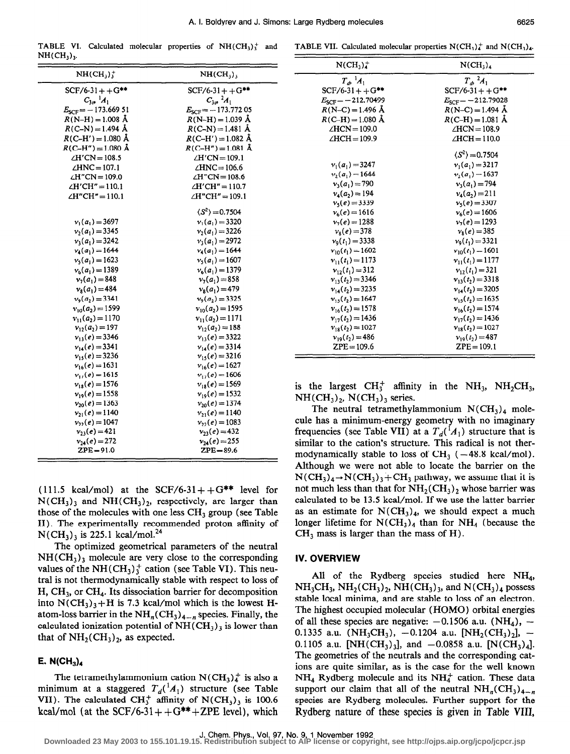TABLE VI. Calculated molecular properties of  $NH(CH<sub>3</sub>)<sub>3</sub><sup>+</sup>$  and  $NH(CH_3)$ .

| $NH(CH_3)^+$                | $NH(CH_3)$                          |
|-----------------------------|-------------------------------------|
| $SCF/6-31++G***$            | $SCF/6-31+ + G***$                  |
| $C_{3v}$ <sup>1</sup> $A_1$ | $C_{3v}^2$ $^2A_1$                  |
| $E_{SCF}$ = -173.669 51     | $E_{SCF}$ = -173.772 05             |
| $R(N-H) = 1.008$ Å          | $R(N-H) = 1.039 \text{ Å}$          |
| $R(C-N) = 1.494$ Å          | $R(C-N) = 1.481 \text{ Å}$          |
| $R(C-H') = 1.080$ Å         | $R(C-H') = 1.082 \text{ Å}$         |
| $R(C-H'') = 1.080$ Å        | $R(C-H'') = 1.081$ Å                |
| $\angle H/CN = 108.5$       | $\angle H/CN = 109.1$               |
| $\angle$ HNC = 107.1        | $\angle$ HNC = 106.6                |
| $\angle H''CN = 109.0$      | $\angle H^{\prime\prime}CN = 108.6$ |
| $\angle H'CH'' = 110.1$     | $\angle H'CH'' = 110.7$             |
| $\angle H''CH'' = 110.1$    | $\angle H''CH'' = 109.1$            |
|                             | $\langle S^2 \rangle$ = 0.7504      |
| $v_1(a_1) = 3697$           | $v_1(a_1)=3320$                     |
| $v_2(a_1) = 3345$           | $v_2(a_1) = 3226$                   |
| $v_1(a_1) = 3242$           | $v_1(a_1) = 2972$                   |
| $v_4(a_1) = 1644$           | $v_4(a_1)=1644$                     |
| $v_5(a_1) = 1623$           | $v_5(a_1) = 1607$                   |
| $v_6(a_1)=1389$             | $v_6(a_1) = 1379$                   |
| $v_7(a_1)=848$              | $v_7(a_1) = 858$                    |
| $v_8(a_1) = 484$            | $v_8(a_1) = 479$                    |
| $v_9(a_2)=3341$             | $v_9(a_2) = 3325$                   |
| $v_{10}(a_2) = 1599$        | $v_{10}(a_2) = 1595$                |
| $v_{11}(a_2)=1170$          | $v_{11}(a_2)=1171$                  |
| $v_{12}(a_2)=197$           | $v_{12}(a_2)=188$                   |
| $v_{13}(e) = 3346$          | $v_{13}(e) = 3322$                  |
| $v_{14}(e) = 3341$          | $v_{14}(e) = 3314$                  |
| $v_{15}(e) = 3236$          | $v_{15}(e) = 3216$                  |
| $v_{16}(e) = 1631$          | $v_{16}(e) = 1627$                  |
| $v_{17}(e) = 1615$          | $v_{17}(e) = 1606$                  |
| $v_{18}(e) = 1576$          | $v_{18}(e) = 1569$                  |
| $v_{10}(e) = 1558$          | $v_{19}(e) = 1532$                  |
| $v_{20}(e) = 1363$          | $v_{20}(e) = 1374$                  |
| $v_{21}(e) = 1140$          | $v_{21}(e) = 1140$                  |
| $v_{22}(e) = 1047$          | $v_{22}(e) = 1083$                  |
| $v_{23}(e) = 421$           | $v_{23}(e) = 432$                   |
| $v_{24}(e) = 272$           | $v_{24}(e) = 255$                   |
| $ZPE = 91.0$                | $ZPE = 89.6$                        |

(111.5 kcal/mol) at the SCF/6-31++ $G^{**}$  level for  $N(CH_3)_3$  and  $NH(CH_3)_2$ , respectively, are larger than those of the molecules with one less  $CH<sub>3</sub>$  group (see Table II). The experimentally recommended proton affinity of  $N(CH_3)$ <sub>3</sub> is 225.1 kcal/mol.<sup>24</sup>

The optimized geometrical parameters of the neutral  $NH(CH<sub>3</sub>)$ <sub>3</sub> molecule are very close to the corresponding values of the NH $(CH_3)_3^+$  cation (see Table VI). This neutral is not thermodynamically stable with respect to loss of  $H, CH<sub>3</sub>$ , or CH<sub>4</sub>. Its dissociation barrier for decomposition into  $N(CH_3)_3 + H$  is 7.3 kcal/mol which is the lowest Hatom-loss barrier in the  $NH_n(CH_3)_{4-n}$  species. Finally, the calculated ionization potential of  $NH(CH_3)_3$  is lower than that of  $NH<sub>2</sub>(CH<sub>3</sub>)<sub>2</sub>$ , as expected.

## E.  $N(CH_3)_4$

The tetramethylammonium cation  $N(CH_3)_4^+$  is also a minimum at a staggered  $T_d^{(1)}(A_1)$  structure (see Table VII). The calculated CH<sub>3</sub><sup>+</sup> affinity of N(CH<sub>3</sub>)<sub>3</sub> is 100.6 kcal/mol (at the SCF/6-31++ $G^{**}$ +ZPE level), which

| $N(CH_3)_4^+$          | N(CH <sub>3</sub> ) <sub>4</sub> |
|------------------------|----------------------------------|
| $T_A^{-1}A_1$          | $T_a^2A_1$                       |
| $SCF/6-31+ + G^{**}$   | $SCF/6-31+ + G***$               |
| $E_{SCF} = -212.70499$ | $E_{SCF} = -212.79028$           |
| $R(N-C) = 1.496$ Å     | $R(N-C) = 1.494$ Å               |
| $R$ (C-H) = 1.080 Å    | $R(C-H) = 1.081$ Å               |
| $\angle$ HCN=109.0     | $\angle$ HCN = 108.9             |
| $\angle HCH = 109.9$   | $\angle$ HCH = 110.0             |
|                        | $\langle S^2 \rangle = 0.7504$   |
| $v_1(a_1) = 3247$      | $v_1(a_1)=3217$                  |
| $v_2(a_1)=1644$        | $v_2(a_1)=1637$                  |
| $v_3(a_1)=790$         | $v_1(a_1)=794$                   |
| $v_4(a_2) = 194$       | $v_4(a_2)=211$                   |
| $v_5(e) = 3339$        | $v_5(e) = 3307$                  |
| $v_6(e) = 1616$        | $v_6(e) = 1606$                  |
| $v_7(e) = 1288$        | $v_7(e) = 1293$                  |
| $v_{\rm s}(e) = 378$   | $v_8(e) = 385$                   |
| $v_0(t_1) = 3338$      | $v_9(t_1) = 3321$                |
| $v_{10}(t_1) = 1602$   | $v_{10}(t_1) = 1601$             |
| $v_{11}(t_1)=1173$     | $v_{11}(t_1)=1177$               |
| $v_{12}(t_1) = 312$    | $v_{12}(t_1)=321$                |
| $v_{12}(t_2) = 3346$   | $v_{13}(t_2) = 3318$             |
| $v_{14}(t_2) = 3235$   | $v_{14}(t_2) = 3205$             |
| $v_{15}(t_2) = 1647$   | $v_{15}(t_2) = 1635$             |
| $v_{16}(t_2) = 1578$   | $v_{16}(t_2) = 1574$             |
| $v_{17}(t_2) = 1436$   | $v_{17}(t_2) = 1436$             |
| $v_{18}(t_2) = 1027$   | $v_{18}(t_2) = 1027$             |
| $v_{19}(t_2) = 486$    | $v_{19}(t_2) = 487$              |
| $ZPE = 109.6$          | $ZPE = 109.1$                    |

is the largest  $CH_3^+$  affinity in the NH<sub>3</sub>, NH<sub>2</sub>CH<sub>3</sub>,  $NH(CH<sub>3</sub>)<sub>2</sub>$ , N(CH<sub>3</sub>)<sub>3</sub> series.

The neutral tetramethylammonium  $N(CH_3)_4$  molecule has a minimum-energy geometry with no imaginary frequencies (see Table VII) at a  $T_d$ <sup>(1</sup>A<sub>1</sub>) structure that is similar to the cation's structure. This radical is not thermodynamically stable to loss of  $CH_3$  ( $-48.8$  kcal/mol). Although we were not able to locate the barrier on the  $N(CH_3)_4 \rightarrow N(CH_3)_3 + CH_3$  pathway, we assume that it is not much less than that for  $NH<sub>2</sub>(CH<sub>3</sub>)<sub>2</sub>$  whose barrier was calculated to be 13.5 kcal/mol. If we use the latter barrier as an estimate for  $N(CH_3)_4$ , we should expect a much longer lifetime for  $N(CH_3)_4$  than for  $NH_4$  (because the  $CH<sub>3</sub>$  mass is larger than the mass of H).

#### IV. OVERVIEW

All of the Rydberg species studied here NH<sub>4</sub>,  $NH<sub>3</sub>CH<sub>3</sub>$ ,  $NH<sub>2</sub>(CH<sub>3</sub>)<sub>2</sub>$ ,  $NH(CH<sub>3</sub>)<sub>3</sub>$ , and  $N(CH<sub>3</sub>)<sub>4</sub>$  possess stable local minima, and are stable to loss of an electron. The highest occupied molecular (HOMO) orbital energies of all these species are negative:  $-0.1506$  a.u. (NH<sub>4</sub>),  $-$ 0.1335 a.u. (NH<sub>3</sub>CH<sub>3</sub>), -0.1204 a.u. [NH<sub>2</sub>(CH<sub>3</sub>)<sub>2</sub>], -0.1105 a.u. [NH(CH<sub>3</sub>)<sub>3</sub>], and -0.0858 a.u. [N(CH<sub>3</sub>)<sub>4</sub>]. The geometries of the neutrals and the corresponding cations are quite similar, as is the case for the well known  $NH<sub>4</sub>$  Rydberg molecule and its  $NH<sub>4</sub>$  cation. These data support our claim that all of the neutral  $NH_n(CH_3)_{4-n}$ species are Rydberg molecules. Further support for the Rydberg nature of these species is given in Table VIII,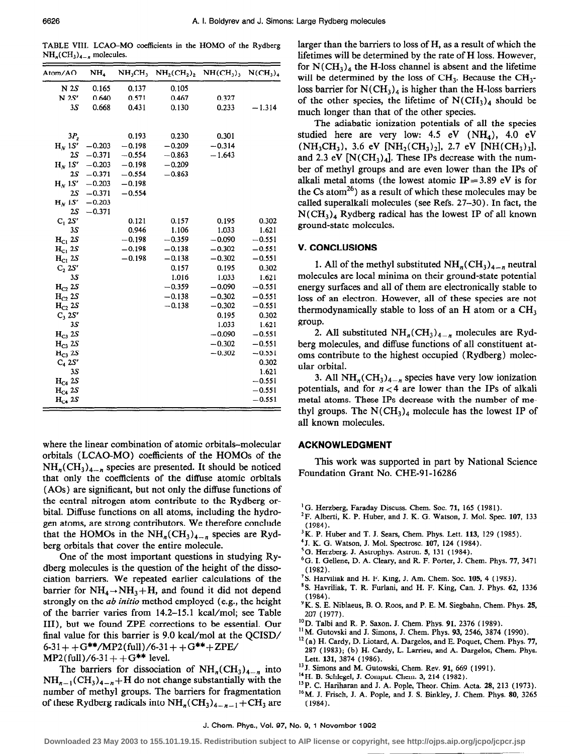TABLE VIII. LCAG-MO coefficients in the HOMO of the Rydberg  $NH_n(CH_3)_{4-n}$  molecules.

| Atom/AO            | NH,      | NH,CH,   | NH <sub>2</sub> (CH <sub>2</sub> ) | $NH(CH_3)$ | $N(CH_2)$ |
|--------------------|----------|----------|------------------------------------|------------|-----------|
| N 2S               | 0.165    | 0.137    | 0.105                              |            |           |
| N 2S'              | 0.640    | 0.571    | 0.467                              | 0.327      |           |
| 3S                 | 0.668    | 0.431    | 0.130                              | 0.233      | $-1.314$  |
|                    |          |          |                                    |            |           |
|                    |          |          |                                    |            |           |
| 3P <sub>z</sub>    |          | 0.193    | 0.230                              | 0.301      |           |
| $HN$ 1S'           | $-0.203$ | $-0.198$ | $-0.209$                           | $-0.314$   |           |
| 2S                 | $-0.371$ | $-0.554$ | $-0.863$                           | $-1.643$   |           |
| $HN$ 1S'           | $-0.203$ | $-0.198$ | $-0.209$                           |            |           |
| 2S                 | $-0.371$ | $-0.554$ | $-0.863$                           |            |           |
| $H_N$ 1S'          | $-0.203$ | $-0.198$ |                                    |            |           |
| 2S                 | $-0.371$ | $-0.554$ |                                    |            |           |
| $H_N$ 1S'          | $-0.203$ |          |                                    |            |           |
| <b>2S</b>          | $-0.371$ |          |                                    |            |           |
| $C_1$ 2S'          |          | 0.121    | 0.157                              | 0.195      | 0.302     |
| 3.S                |          | 0.946    | 1.106                              | 1.033      | 1.621     |
| $H_{C1}$ 2S        |          | $-0.198$ | $-0.359$                           | $-0.090$   | $-0.551$  |
| $H_{C1}$ 2S        |          | $-0.198$ | $-0.138$                           | $-0.302$   | $-0.551$  |
| $_{\rm H_{C1}}$ 2S |          | $-0.198$ | $-0.138$                           | $-0.302$   | $-0.551$  |
| $C_2 2S'$          |          |          | 0.157                              | 0.195      | 0.302     |
| 3S                 |          |          | 1.016                              | 1.033      | 1.621     |
| $H_{C2}$ 2S        |          |          | $-0.359$                           | $-0.090$   | $-0.551$  |
| $H_{C2}$ 2S        |          |          | $-0.138$                           | $-0.302$   | $-0.551$  |
| $H_{C2}$ 2S        |          |          | $-0.138$                           | $-0.302$   | $-0.551$  |
| $C_3 2S'$          |          |          |                                    | 0.195      | 0.302     |
| 3S                 |          |          |                                    | 1.033      | 1.621     |
| $HC3$ 2S           |          |          |                                    | $-0.090$   | $-0.551$  |
| $H_{C3}$ 2S        |          |          |                                    | $-0.302$   | $-0.551$  |
| $H_{C3}$ 2S        |          |          |                                    | $-0.302$   | $-0.551$  |
| $C_4 2S'$          |          |          |                                    |            | 0.302     |
| 3S                 |          |          |                                    |            | 1.621     |
| $H_{C4}$ 2S        |          |          |                                    |            | $-0.551$  |
| $H_{C4}$ 2S        |          |          |                                    |            | $-0.551$  |
| $H_{C4}$ 2S        |          |          |                                    |            | $-0.551$  |

where the linear combination of atomic orbitals--molecular orbitals (LCAO-MO) coefficients of the HOMOs of the  $NH_n(CH_3)_{4-n}$  species are presented. It should be noticed that only the coefficients of the diffuse atomic orbitals (AOs) are significant, but not only the diffuse functions of the central nitrogen atom contribute to the Rydberg orbital. Diffuse functions on all atoms, including the hydrogen atoms, are strong contributors. We therefore conclude that the HOMOs in the  $NH_n(CH_3)_{4-n}$  species are Rydberg orbitals that cover the entire molecule.

One of the most important questions in studying Rydberg molecules is the question of the height of the dissociation barriers. We repeated earlier calculations of the barrier for  $NH_4 \rightarrow NH_3 + H$ , and found it did not depend strongly on the ab initio method employed (e.g., the height of the barrier varies from 14.2-15.1 kcal/mol; see Table III), but we found ZPE corrections to be essential. Our final value for this barrier is 9.0 kcal/mol at the QCISD/  $6-31 + + G^{**}/MP2$  (full)/6-31 + +  $G^{**}$  + ZPE/  $MP2$ (full)/6-31 + +  $G^{**}$  level.

The barriers for dissociation of  $NH_n(CH_3)_{4-n}$  into  $NH_{n-1}(CH_3)_{4-n}+H$  do not change substantially with the number of methyl groups. The barriers for fragmentation of these Rydberg radicals into  $NH_n(CH_3)_{4-n-1}$ +CH<sub>3</sub> are

The adiabatic ionization potentials of all the species studied here are very low:  $4.5$  eV (NH<sub>4</sub>),  $4.0$  eV  $(NH_3CH_3)$ , 3.6 eV  $[NH_2(CH_3)_2]$ , 2.7 eV  $[NH(CH_3)_3]$ , and 2.3 eV [N(CH<sub>3</sub>)<sub>4</sub>]. These IPs decrease with the number of methyl groups and are even lower than the IPs of alkali metal atoms (the lowest atomic IP= 3.89 eV is for the Cs atom<sup>26</sup>) as a result of which these molecules may be called superalkali molecules (see Refs. 27-30). In fact, the  $N(CH_3)_4$  Rydberg radical has the lowest IP of all known ground-state molecules.

#### V. CONCLUSIONS

1. All of the methyl substituted  $NH_n(CH_3)_{4-n}$  neutral molecules are local minima on their ground-state potential energy surfaces and all of them are electronically stable to loss of an electron. However, all of these species are not thermodynamically stable to loss of an H atom or a CH, group.

2. All substituted  $NH_n(CH_3)_{4-n}$  molecules are Rydberg molecules, and diffuse functions of all constituent atoms contribute to the highest occupied (Rydberg) molecular orbital.

3. All  $NH_n(CH_3)_{4-n}$  species have very low ionization potentials, and for  $n < 4$  are lower than the IPs of alkali metal atoms. These IPs decrease with the number of methyl groups. The  $N(CH_3)_4$  molecule has the lowest IP of all known molecules.

#### ACKNOWLEDGMENT

This work was supported in part by National Science Foundation Grant No. CHE-91-16286

- <sup>1</sup>G. Herzberg, Faraday Discuss. Chem. Soc. 71, 165 (1981).
- <sup>2</sup>F. Alberti, K. P. Huber, and J. K. G. Watson, J. Mol. Spec. 107, 133 (1984).
- $3$ K. P. Huber and T. J. Sears, Chem. Phys. Lett. 113, 129 (1985).
- 4J. K. G. Watson, J. Mol. Spectrosc. 107, 124 (1984).
- <sup>5</sup>G. Herzberg. J. Astrophys. Astron. 5, 131 (1984).
- ${}^6$ G. I. Gellene, D. A. Cleary, and R. F. Porter, J. Chem. Phys. 77, 3471 (1982).
- <sup>7</sup>S. Harviliak and H. F. King, J. Am. Chem. Soc.  $105$ , 4 (1983).
- 8S. Havriliak, T. R. Furlani, and H. F. King, Can. J. Phys. 62, 1336 (1984).
- <sup>9</sup> K. S. E. Niblaeus, B. O. Roos, and P. E. M. Siegbahn, Chem. Phys. 25, 207 (1977).
- <sup>10</sup> D. Talbi and R. P. Saxon, J. Chem. Phys. 91, 2376 (1989).
- $11$ M. Gutovski and J. Simons, J. Chem. Phys. 93, 2546, 3874 (1990).
- $^{12}$  (a) H. Cardy, D. Liotard, A. Dargelos, and E. Poquet, Chem. Phys. 77, 287 (1983); (b) H. Cardy, L. Larrieu, and A. Dargelos, Chem. Phys. Lett. 131, 3874 (1986).
- 13J. Simons and M. Gutowski, Chem. Rev. 91, 669 (1991).
- <sup>14</sup> H. B. Schlegel, J. Comput. Chem. 3, 214 (1982).
- <sup>15</sup>P. C. Hariharan and J. A. Pople, Theor. Chim. Acta. 28, 213 (1973).
- 16M. J. Frisch, J. A. Pople, and J. S. Binkley, J. Chem. Phys. 80, 3265 (1984).

#### J. Chem. Phys., Vol. 97, No. 9, 1 November 1992